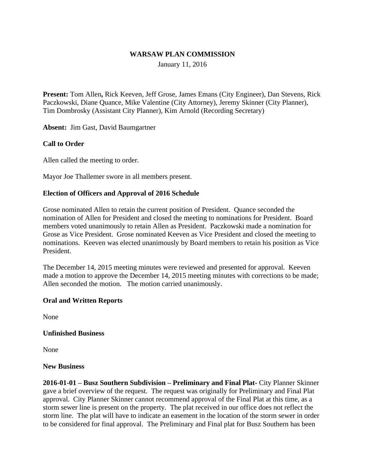#### **WARSAW PLAN COMMISSION**

January 11, 2016

**Present:** Tom Allen**,** Rick Keeven, Jeff Grose, James Emans (City Engineer), Dan Stevens, Rick Paczkowski, Diane Quance, Mike Valentine (City Attorney), Jeremy Skinner (City Planner), Tim Dombrosky (Assistant City Planner), Kim Arnold (Recording Secretary)

**Absent:** Jim Gast, David Baumgartner

## **Call to Order**

Allen called the meeting to order.

Mayor Joe Thallemer swore in all members present.

## **Election of Officers and Approval of 2016 Schedule**

Grose nominated Allen to retain the current position of President. Quance seconded the nomination of Allen for President and closed the meeting to nominations for President. Board members voted unanimously to retain Allen as President. Paczkowski made a nomination for Grose as Vice President. Grose nominated Keeven as Vice President and closed the meeting to nominations. Keeven was elected unanimously by Board members to retain his position as Vice President.

The December 14, 2015 meeting minutes were reviewed and presented for approval. Keeven made a motion to approve the December 14, 2015 meeting minutes with corrections to be made; Allen seconded the motion. The motion carried unanimously.

#### **Oral and Written Reports**

None

#### **Unfinished Business**

None

#### **New Business**

**2016-01-01 – Busz Southern Subdivision – Preliminary and Final Plat-** City Planner Skinner gave a brief overview of the request. The request was originally for Preliminary and Final Plat approval. City Planner Skinner cannot recommend approval of the Final Plat at this time, as a storm sewer line is present on the property. The plat received in our office does not reflect the storm line. The plat will have to indicate an easement in the location of the storm sewer in order to be considered for final approval. The Preliminary and Final plat for Busz Southern has been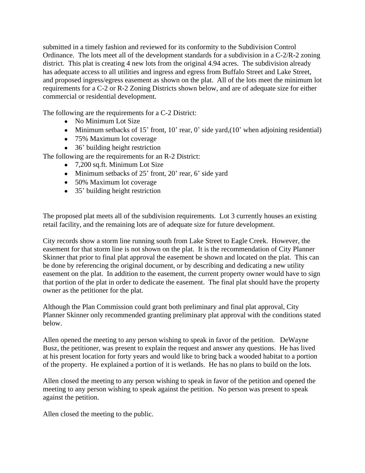submitted in a timely fashion and reviewed for its conformity to the Subdivision Control Ordinance. The lots meet all of the development standards for a subdivision in a C-2/R-2 zoning district. This plat is creating 4 new lots from the original 4.94 acres. The subdivision already has adequate access to all utilities and ingress and egress from Buffalo Street and Lake Street, and proposed ingress/egress easement as shown on the plat. All of the lots meet the minimum lot requirements for a C-2 or R-2 Zoning Districts shown below, and are of adequate size for either commercial or residential development.

The following are the requirements for a C-2 District:

- No Minimum Lot Size
- $\bullet$  Minimum setbacks of 15' front, 10' rear, 0' side yard,(10' when adjoining residential)
- 75% Maximum lot coverage
- 36' building height restriction
- The following are the requirements for an R-2 District:
	- 7,200 sq.ft. Minimum Lot Size
	- Minimum setbacks of 25' front, 20' rear, 6' side yard
	- 50% Maximum lot coverage
	- 35' building height restriction

The proposed plat meets all of the subdivision requirements. Lot 3 currently houses an existing retail facility, and the remaining lots are of adequate size for future development.

City records show a storm line running south from Lake Street to Eagle Creek. However, the easement for that storm line is not shown on the plat. It is the recommendation of City Planner Skinner that prior to final plat approval the easement be shown and located on the plat. This can be done by referencing the original document, or by describing and dedicating a new utility easement on the plat. In addition to the easement, the current property owner would have to sign that portion of the plat in order to dedicate the easement. The final plat should have the property owner as the petitioner for the plat.

Although the Plan Commission could grant both preliminary and final plat approval, City Planner Skinner only recommended granting preliminary plat approval with the conditions stated below.

Allen opened the meeting to any person wishing to speak in favor of the petition. DeWayne Busz, the petitioner, was present to explain the request and answer any questions. He has lived at his present location for forty years and would like to bring back a wooded habitat to a portion of the property. He explained a portion of it is wetlands. He has no plans to build on the lots.

Allen closed the meeting to any person wishing to speak in favor of the petition and opened the meeting to any person wishing to speak against the petition. No person was present to speak against the petition.

Allen closed the meeting to the public.